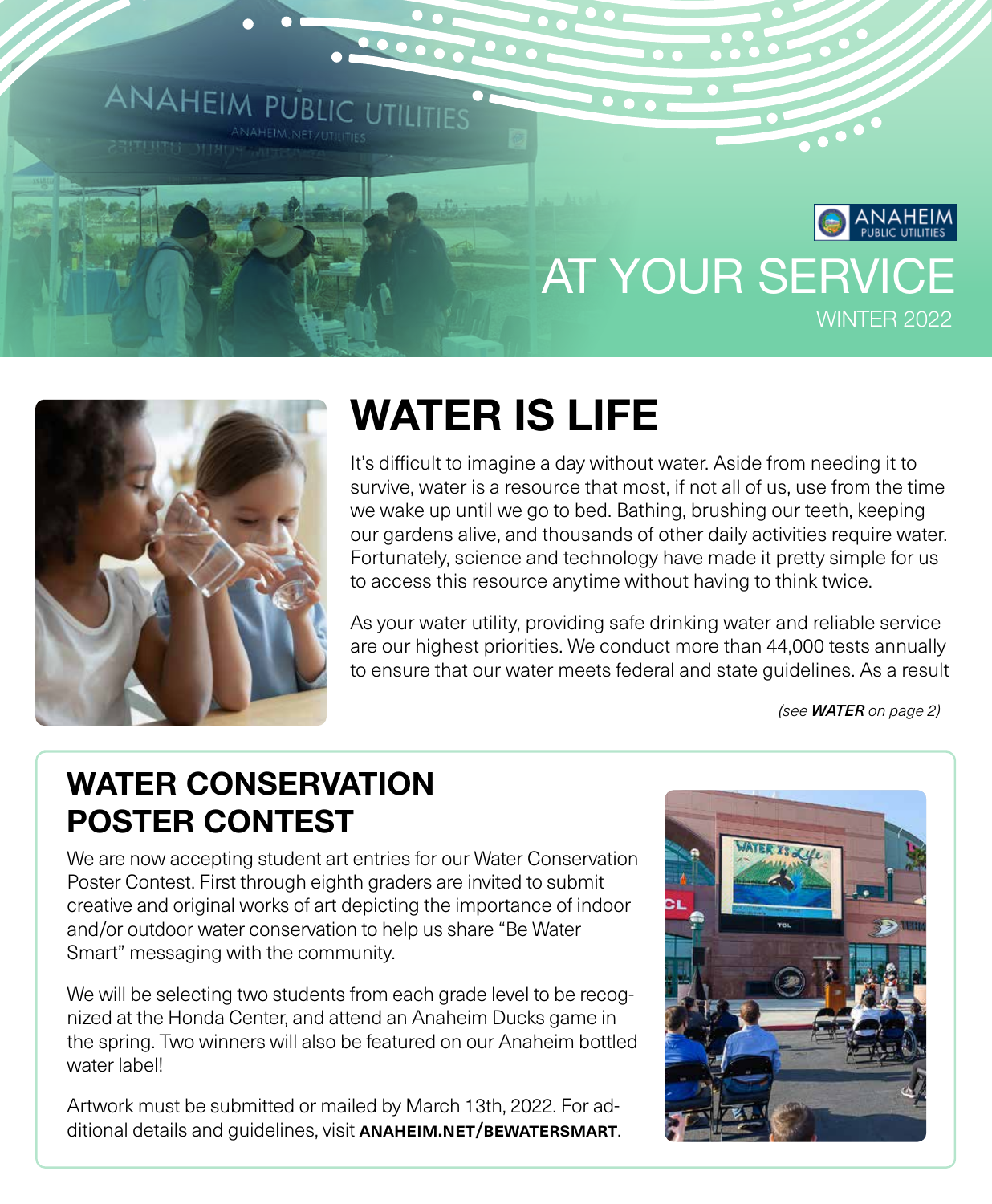



# WATER IS LIFE

It's difficult to imagine a day without water. Aside from needing it to survive, water is a resource that most, if not all of us, use from the time we wake up until we go to bed. Bathing, brushing our teeth, keeping our gardens alive, and thousands of other daily activities require water. Fortunately, science and technology have made it pretty simple for us to access this resource anytime without having to think twice.

As your water utility, providing safe drinking water and reliable service are our highest priorities. We conduct more than 44,000 tests annually to ensure that our water meets federal and state guidelines. As a result

*(see WATER on page 2)*

# WATER CONSERVATION POSTER CONTEST

We are now accepting student art entries for our Water Conservation Poster Contest. First through eighth graders are invited to submit creative and original works of art depicting the importance of indoor and/or outdoor water conservation to help us share "Be Water Smart" messaging with the community.

We will be selecting two students from each grade level to be recognized at the Honda Center, and attend an Anaheim Ducks game in the spring. Two winners will also be featured on our Anaheim bottled water label!

Artwork must be submitted or mailed by March 13th, 2022. For additional details and guidelines, visit ANAHEIM.NET/BEWATERSMART.

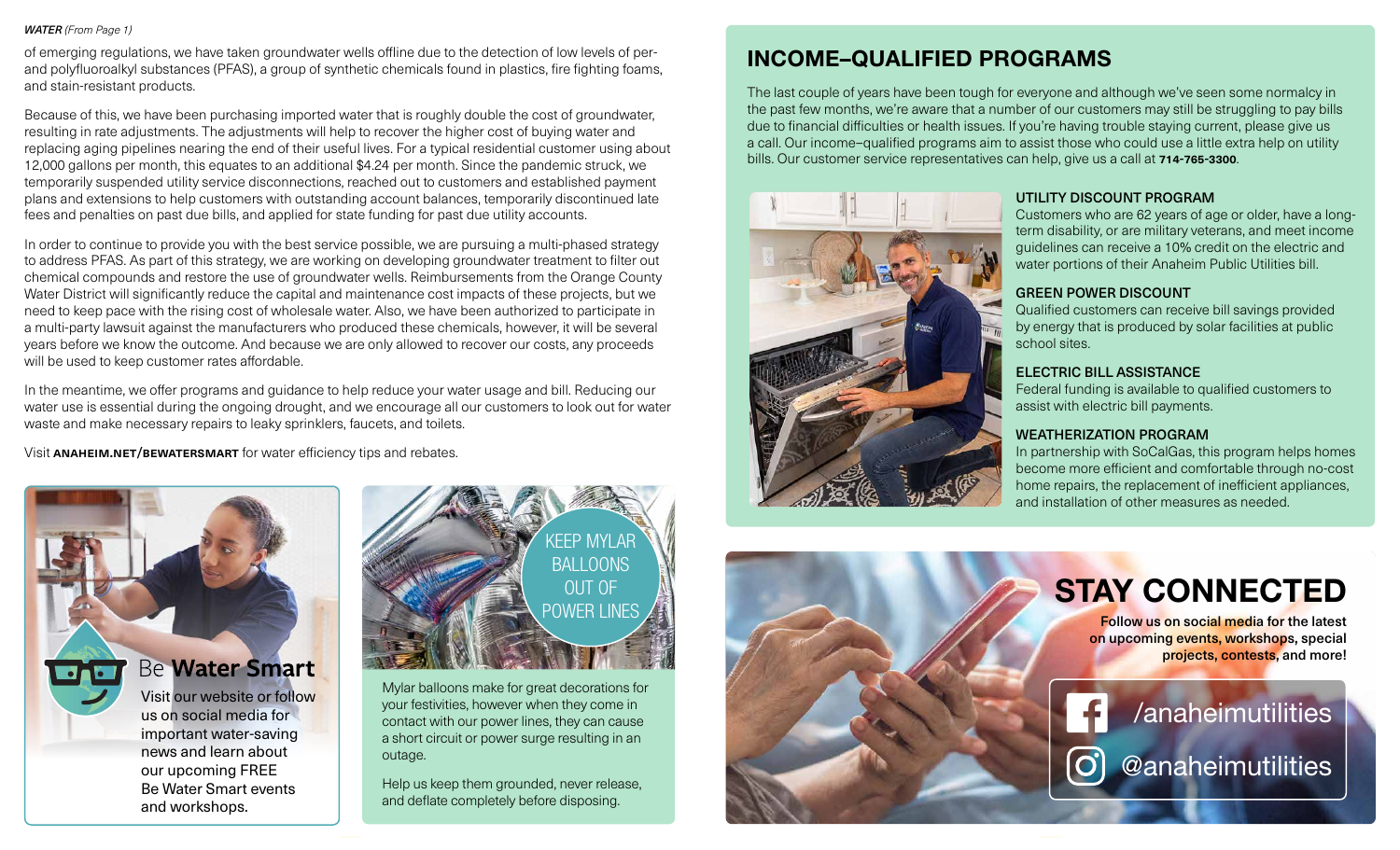#### *WATER (From Page 1)*

of emerging regulations, we have taken groundwater wells offline due to the detection of low levels of perand polyfluoroalkyl substances (PFAS), a group of synthetic chemicals found in plastics, fire fighting foams, and stain-resistant products.

Because of this, we have been purchasing imported water that is roughly double the cost of groundwater, resulting in rate adjustments. The adjustments will help to recover the higher cost of buying water and replacing aging pipelines nearing the end of their useful lives. For a typical residential customer using about 12,000 gallons per month, this equates to an additional \$4.24 per month. Since the pandemic struck, we temporarily suspended utility service disconnections, reached out to customers and established payment plans and extensions to help customers with outstanding account balances, temporarily discontinued late fees and penalties on past due bills, and applied for state funding for past due utility accounts.

In order to continue to provide you with the best service possible, we are pursuing a multi-phased strategy to address PFAS. As part of this strategy, we are working on developing groundwater treatment to filter out chemical compounds and restore the use of groundwater wells. Reimbursements from the Orange County Water District will significantly reduce the capital and maintenance cost impacts of these projects, but we need to keep pace with the rising cost of wholesale water. Also, we have been authorized to participate in a multi-party lawsuit against the manufacturers who produced these chemicals, however, it will be several years before we know the outcome. And because we are only allowed to recover our costs, any proceeds will be used to keep customer rates affordable.

In the meantime, we offer programs and guidance to help reduce your water usage and bill. Reducing our water use is essential during the ongoing drought, and we encourage all our customers to look out for water waste and make necessary repairs to leaky sprinklers, faucets, and toilets.

Visit **ANAHEIM.NET/BEWATERSMART** for water efficiency tips and rebates.





Mylar balloons make for great decorations for your festivities, however when they come in contact with our power lines, they can cause a short circuit or power surge resulting in an outage.

Help us keep them grounded, never release, and deflate completely before disposing.

# INCOME–QUALIFIED PROGRAMS

The last couple of years have been tough for everyone and although we've seen some normalcy in the past few months, we're aware that a number of our customers may still be struggling to pay bills due to financial difficulties or health issues. If you're having trouble staying current, please give us a call. Our income–qualified programs aim to assist those who could use a little extra help on utility bills. Our customer service representatives can help, give us a call at **714-765-3300**.



## UTILITY DISCOUNT PROGRAM

Customers who are 62 years of age or older, have a longterm disability, or are military veterans, and meet income guidelines can receive a 10% credit on the electric and water portions of their Anaheim Public Utilities bill.

### GREEN POWER DISCOUNT

Qualified customers can receive bill savings provided by energy that is produced by solar facilities at public school sites.

### ELECTRIC BILL ASSISTANCE

Federal funding is available to qualified customers to assist with electric bill payments.

## WEATHERIZATION PROGRAM

 $|\mathbf{O}|$ 

In partnership with SoCalGas, this program helps homes become more efficient and comfortable through no-cost home repairs, the replacement of inefficient appliances, and installation of other measures as needed.



# STAY CONNECTED

Follow us on social media for the latest on upcoming events, workshops, special projects, contests, and more!

/anaheimutilities

@anaheimutilities